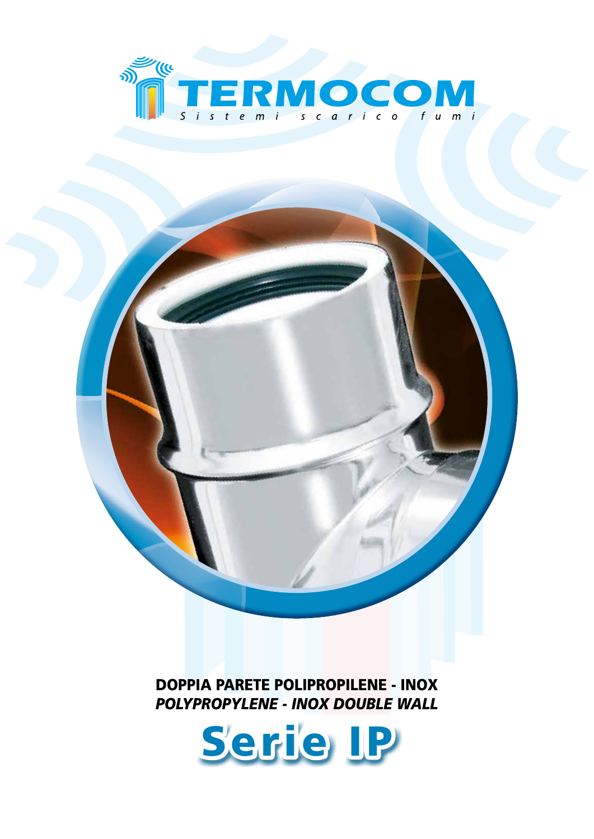

DOPPIA PARETE POLIPROPILENE - INOX *POLYPROPYLENE - INOX DOUBLE WALL*

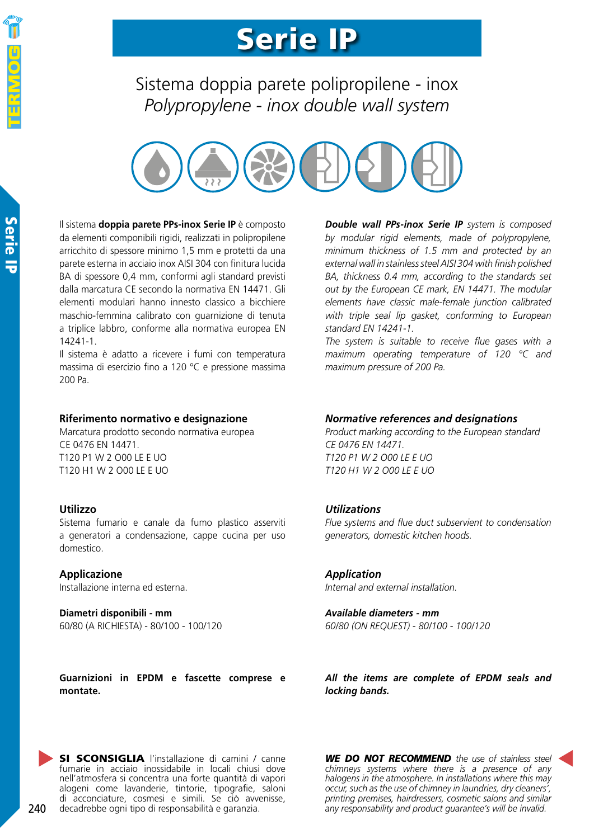### Serie IP

Sistema doppia parete polipropilene - inox *Polypropylene - inox double wall system*



Il sistema **doppia parete PPs-inox Serie IP** è composto da elementi componibili rigidi, realizzati in polipropilene arricchito di spessore minimo 1,5 mm e protetti da una parete esterna in acciaio inox AISI 304 con finitura lucida BA di spessore 0,4 mm, conformi agli standard previsti dalla marcatura CE secondo la normativa EN 14471. Gli elementi modulari hanno innesto classico a bicchiere maschio-femmina calibrato con guarnizione di tenuta a triplice labbro, conforme alla normativa europea EN 14241-1.

Il sistema è adatto a ricevere i fumi con temperatura massima di esercizio fino a 120 °C e pressione massima 200 Pa.

#### **Riferimento normativo e designazione**

Marcatura prodotto secondo normativa europea CE 0476 EN 14471. T120 P1 W 2 O00 LE E UO T120 H1 W 2 O00 LE E UO

#### **Utilizzo**

Sistema fumario e canale da fumo plastico asserviti a generatori a condensazione, cappe cucina per uso domestico.

#### **Applicazione**

Installazione interna ed esterna.

**Diametri disponibili - mm** 60/80 (A RICHIESTA) - 80/100 - 100/120 *Double wall PPs-inox Serie IP system is composed by modular rigid elements, made of polypropylene, minimum thickness of 1.5 mm and protected by an external wall in stainless steel AISI 304 with finish polished BA, thickness 0.4 mm, according to the standards set out by the European CE mark, EN 14471. The modular elements have classic male-female junction calibrated with triple seal lip gasket, conforming to European standard EN 14241-1.*

*The system is suitable to receive flue gases with a maximum operating temperature of 120 °C and maximum pressure of 200 Pa.*

#### *Normative references and designations*

*Product marking according to the European standard CE 0476 EN 14471. T120 P1 W 2 O00 LE E UO T120 H1 W 2 O00 LE E UO*

#### *Utilizations*

*Flue systems and flue duct subservient to condensation generators, domestic kitchen hoods.*

#### *Application*

*Internal and external installation.*

*Available diameters - mm 60/80 (ON REQUEST) - 80/100 - 100/120*

**Guarnizioni in EPDM e fascette comprese e montate.**

*All the items are complete of EPDM seals and locking bands.*

SI SCONSIGLIA l'installazione di camini / canne fumarie in acciaio inossidabile in locali chiusi dove nell'atmosfera si concentra una forte quantità di vapori alogeni come lavanderie, tintorie, tipografie, saloni di acconciature, cosmesi e simili. Se ciò avvenisse, decadrebbe ogni tipo di responsabilità e garanzia.

*WE DO NOT RECOMMEND the use of stainless steel chimneys systems where there is a presence of any halogens in the atmosphere. In installations where this may occur, such as the use of chimney in laundries, dry cleaners', printing premises, hairdressers, cosmetic salons and similar any responsability and product guarantee's will be invalid.*

240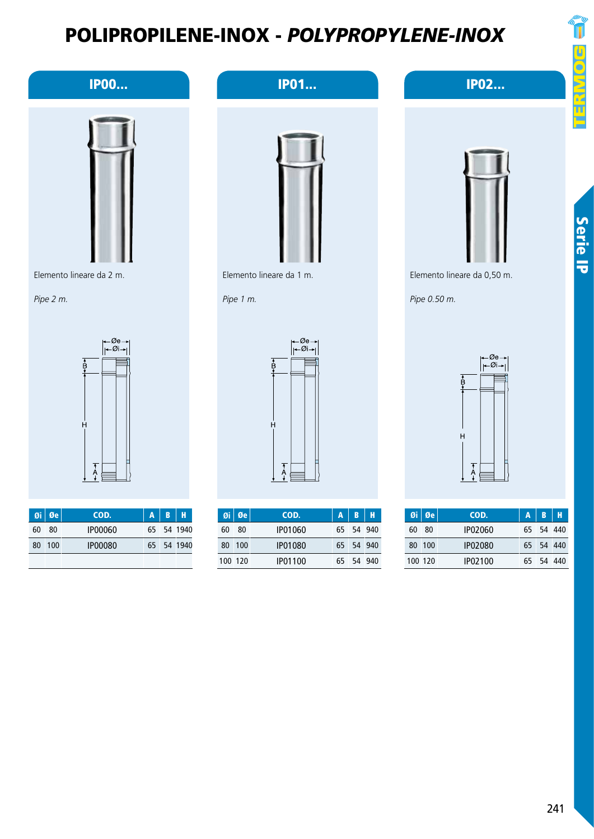IP01...



Serie IP

Elemento lineare da 0,50 m.

*Pipe 0.50 m.*





IP02...





|    | $\mathfrak{g}_i \mid \mathfrak{g}_e$ | COD.    | $\mathbf{A}$ | IB.       | Н |
|----|--------------------------------------|---------|--------------|-----------|---|
| 60 | -80                                  | IP02060 |              | 65 54 440 |   |
|    | 80 100                               | IP02080 |              | 65 54 440 |   |
|    | 100 120                              | IP02100 |              | 65 54 440 |   |

#### IP00...



Elemento lineare da 2 m.

*Pipe 2 m.*



|    | $\overline{0}$ i Øe | COD.           | $\mathbf{A}$ | IB. | н          |
|----|---------------------|----------------|--------------|-----|------------|
| 60 | 80                  | 1P00060        |              |     | 65 54 1940 |
| 80 | $-100$              | <b>IP00080</b> |              |     | 65 54 1940 |
|    |                     |                |              |     |            |



|     | $\mathfrak{g}_i \mid \mathfrak{g}_e$ | COD.    | $\mathbf{A}$ | <b>B</b> H |  |
|-----|--------------------------------------|---------|--------------|------------|--|
| 60  | 80                                   | IP01060 |              | 65 54 940  |  |
| 80. | 100                                  | IP01080 |              | 65 54 940  |  |
|     | 100 120                              | IP01100 |              | 65 54 940  |  |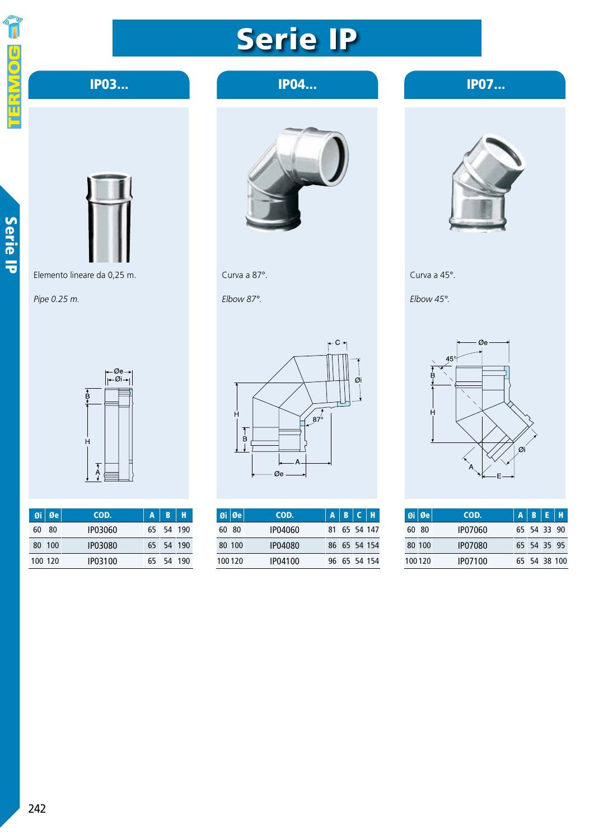

#### IP03...

Raccordo a T 45° *45° Tee duct* IP04... IP07...

## Serie IP



Elemento lineare da 0,25 m.

*Pipe 0.25 m.*





| $\mathfrak{gi} \mid \mathfrak{G}$ e | COD.    | A | B         |  |
|-------------------------------------|---------|---|-----------|--|
| 60 80                               | 1P03060 |   | 65 54 190 |  |
| 80 100                              | IP03080 |   | 65 54 190 |  |
| 100 120                             | IP03100 |   | 65 54 190 |  |





*Elbow 87°.*



|       | $ 0 $ i $ 0 $ e | COD.    |  | $A$ $B$ $C$ $H$ |
|-------|-----------------|---------|--|-----------------|
| 60 80 |                 | IP04060 |  | 81 65 54 147    |
|       | 80 100          | IP04080 |  | 86 65 54 154    |
|       | 100120          | IP04100 |  | 96 65 54 154    |



Curva a 45°.

*Elbow 45°.*



| $\boldsymbol{\mathsf{0}}$ i $\boldsymbol{\mathsf{0}}$ e | COD.           | $A$ $B$ $E$ $H$ |  |
|---------------------------------------------------------|----------------|-----------------|--|
| 60 80                                                   | IP07060        | 65 54 33 90     |  |
| 80 100                                                  | <b>IP07080</b> | 65 54 35 95     |  |
| 100120                                                  | IP07100        | 65 54 38 100    |  |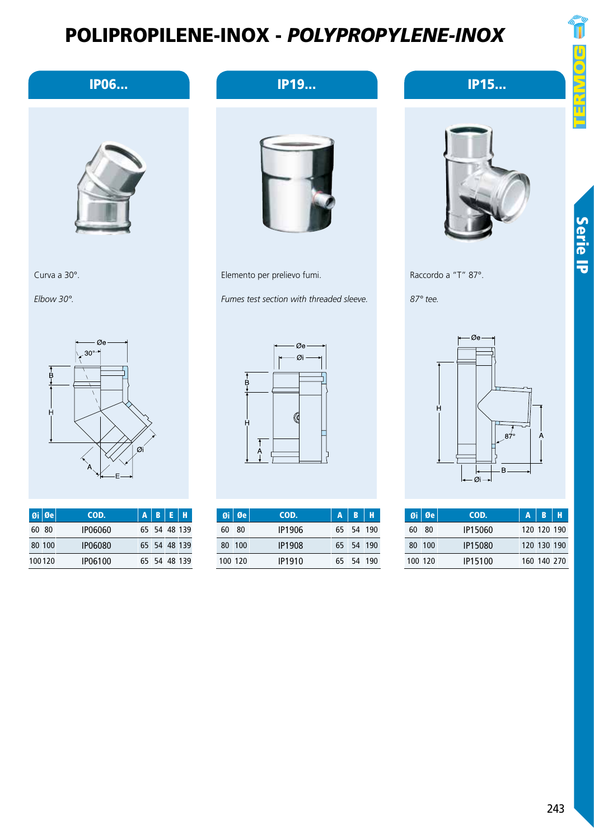

Serie IP





| $Qi$ $Qe$ | COD.    | $A$ $B$ $E$ $H$ |              |
|-----------|---------|-----------------|--------------|
| 60 80     | IP06060 |                 | 65 54 48 139 |
| 80 100    | IP06080 |                 | 65 54 48 139 |
| 100120    | IP06100 |                 | 65 54 48 139 |

#### **IP06... IP19... IP19...**



Elemento per prelievo fumi.

*Fumes test section with threaded sleeve.*



|    | $9i$ $\theta$ e | COD.          | $\mathbf{A}$ | $B$   H   |  |
|----|-----------------|---------------|--------------|-----------|--|
| 60 | - 80            | IP1906        |              | 65 54 190 |  |
|    | 80 100          | <b>IP1908</b> |              | 65 54 190 |  |
|    | 100 120         | IP1910        |              | 65 54 190 |  |



IP15...

Raccordo a "T" 87°.

*87° tee.*



|    | $\mathfrak{g}$ i   Øe | COD.    | A | <b>B</b> H  |  |
|----|-----------------------|---------|---|-------------|--|
| 60 | - 80                  | IP15060 |   | 120 120 190 |  |
|    | 80 100                | IP15080 |   | 120 130 190 |  |
|    | 100 120               | IP15100 |   | 160 140 270 |  |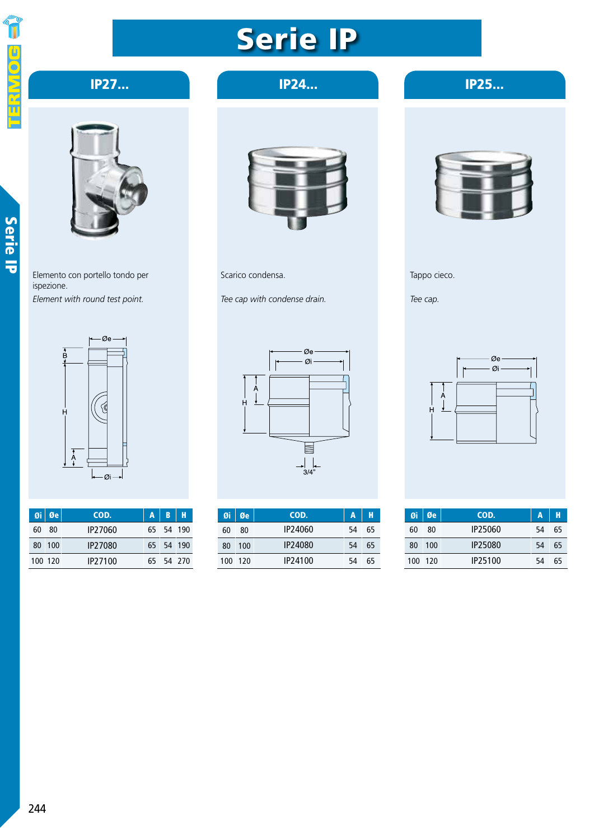## 

## Serie IP

#### IP25... Raccordo a T 45° *45° Tee duct* IP27...



Serie IP

Elemento con portello tondo per ispezione. *Element with round test point.*



| $\overline{0}$ i Øe | COD.    | A | B         |  |
|---------------------|---------|---|-----------|--|
| 60 80               | IP27060 |   | 65 54 190 |  |
| 80 100              | IP27080 |   | 65 54 190 |  |
| 100 120             | IP27100 |   | 65 54 270 |  |

IP24...



Scarico condensa.

*Tee cap with condense drain.*



| Øi | Øe      | COD.                | Α  |    |
|----|---------|---------------------|----|----|
| 60 | 80      | IP24060             | 54 | 65 |
| 80 | 100     | IP24080             | 54 | 65 |
|    | 100 120 | IP <sub>24100</sub> | 54 | 65 |

Tappo cieco.

*Tee cap.*



|         | $Qi$ $Qe$ | COD.    | A  |    |
|---------|-----------|---------|----|----|
| 60      | 80        | IP25060 | 54 | 65 |
| 80      | -100      | IP25080 | 54 | 65 |
| 100 120 |           | IP25100 | 54 | 65 |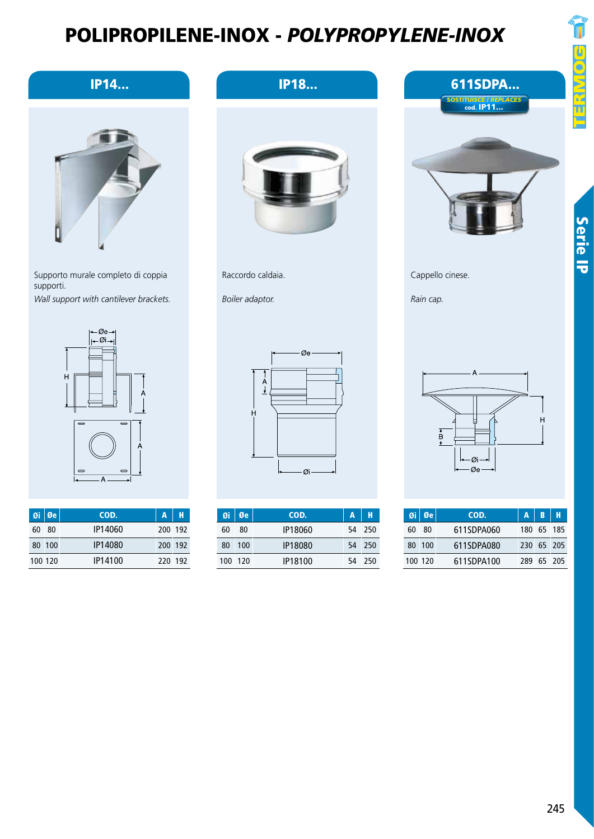

Serie IP

Cappello cinese.

*Rain cap.*

A Ŀ  $\overline{H}$  $\frac{1}{\sqrt{2}}$ gi-Øe

611SDPA...

SOSTITUISCE / *REPLACES*  cod. IP11...

|    | $\overline{\mathfrak{g}}$ i $\overline{\mathfrak{g}}$ e | COD.       | $A$ $B$ $H$ |            |
|----|---------------------------------------------------------|------------|-------------|------------|
| 60 | - 80                                                    | 611SDPA060 |             | 180 65 185 |
|    | 80 100                                                  | 611SDPA080 |             | 230 65 205 |
|    | 100 120                                                 | 611SDPA100 |             | 289 65 205 |

#### IP14...



Supporto murale completo di coppia supporti. *Wall support with cantilever brackets.*



|         | Øi Øe  | COD.    | $A$   H |  |
|---------|--------|---------|---------|--|
| 60      | - 80   | IP14060 | 200 192 |  |
|         | 80 100 | IP14080 | 200 192 |  |
| 100 120 |        | IP14100 | 220 192 |  |



IP18...

Raccordo caldaia.

*Boiler adaptor.*



|    | $\mathfrak{g}_i \mid \mathfrak{g}_e$ | COD.    | A  | Н      |
|----|--------------------------------------|---------|----|--------|
| 60 | 80                                   | IP18060 |    | 54 250 |
| 80 | 100                                  | IP18080 |    | 54 250 |
|    | 100 120                              | IP18100 | 54 | - 250  |

245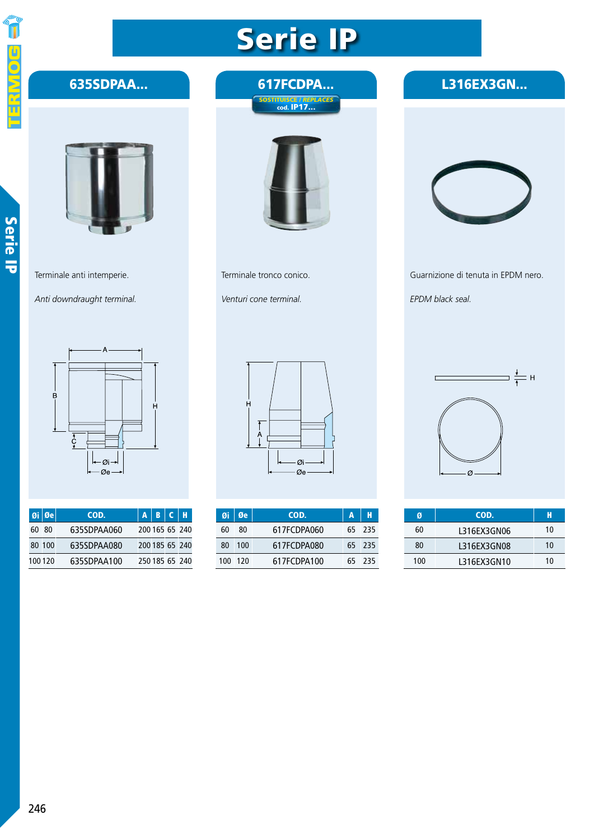# 

Serie IP

### Serie IP

617FCDPA...

#### L316EX3GN...



635SDPAA...

Terminale anti intemperie.

*Anti downdraught terminal.*



|        | $\boldsymbol{\mathsf{0}}$ i $\boldsymbol{\mathsf{0}}$ e | COD.        | $A \mid B \mid C \mid H$ |                |
|--------|---------------------------------------------------------|-------------|--------------------------|----------------|
| 60 80  |                                                         | 635SDPAA060 |                          | 200 165 65 240 |
|        | 80 100                                                  | 635SDPAA080 |                          | 200 185 65 240 |
| 100120 |                                                         | 635SDPAA100 |                          | 250 185 65 240 |



Terminale tronco conico.

*Venturi cone terminal.*



|    | $\mathfrak{g}_i \mid \mathfrak{g}_e$ | COD.        | A | н      |
|----|--------------------------------------|-------------|---|--------|
| 60 | 80                                   | 617FCDPA060 |   | 65 235 |
| 80 | 100                                  | 617FCDPA080 |   | 65 235 |
|    | 100 120                              | 617FCDPA100 |   | 65 235 |



Guarnizione di tenuta in EPDM nero.

*EPDM black seal.*



|     | COD.        | н  |
|-----|-------------|----|
| 60  | L316FX3GN06 | 10 |
| 80  | 1316FX3GN08 | 10 |
| 100 | 1316FX3GN10 | 10 |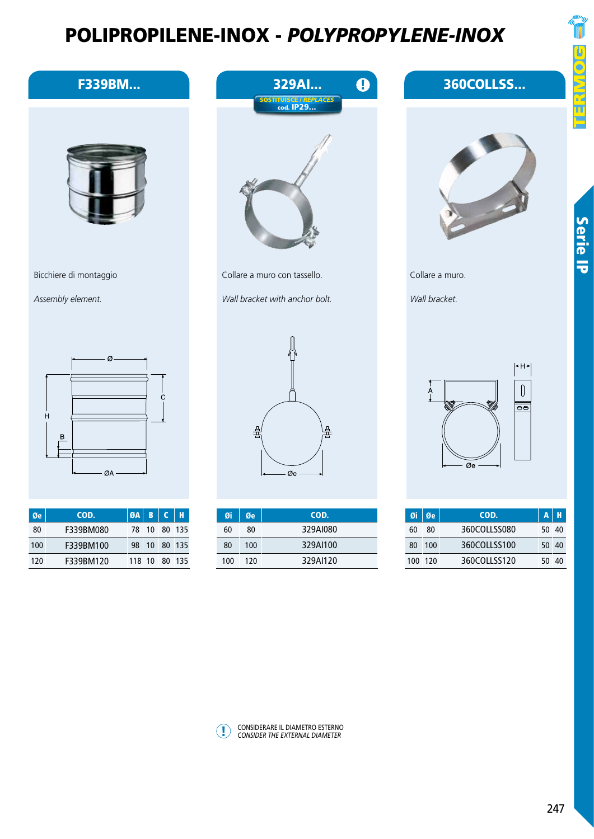F339BM...

Bicchiere di montaggio

Øe COD. ØA B C H

ØA

Ø

78 10 80 135 98 10 80 135 118 10 80 135

Ċ

 $QA \mid B \mid C$ 

F339BM080 F339BM100 F339BM120

80 100 120

 $\boldsymbol{\mathsf{H}}$ 

 $\, {\sf B}$ 

*Assembly element.*



Serie IP





360COLLSS...

Collare a muro.



 $+H+$  $\begin{bmatrix} \end{bmatrix}$  $\frac{A}{1}$  $\overline{\overline{\bullet}}$  $\overline{\varnothing}$ e

| $\boxed{0}$ i $\boxed{0}$ e |     | COD.         |       | AH |
|-----------------------------|-----|--------------|-------|----|
| 60                          | 80  | 360COLLSS080 | 50 40 |    |
| 80                          | 100 | 360COLLSS100 | 50 40 |    |
| 100 120                     |     | 360COLLSS120 | 50 40 |    |



Collare a muro con tassello.

*Wall bracket with anchor bolt.*



| Øi  | Øe  | COD.     |
|-----|-----|----------|
| 60  | 80  | 329AI080 |
| 80  | 100 | 329AJ100 |
| 100 | 120 | 329AI120 |



! CONSIDERARE IL DIAMETRO ESTERNO *CONSIDER THE EXTERNAL DIAMETER*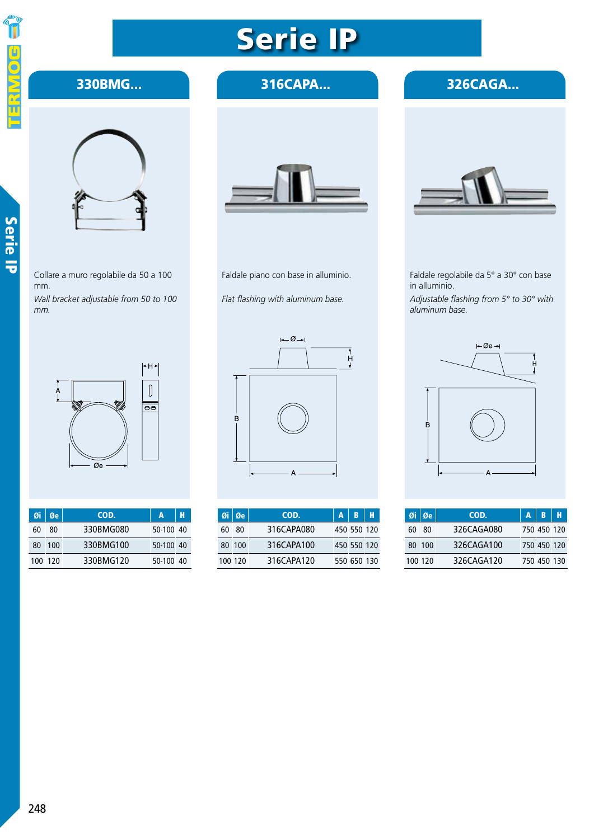

#### 330BMG...



*mm.*

Collare a muro regolabile da 50 a 100 mm. *Wall bracket adjustable from 50 to 100* 



|    | $\mathfrak{g}_i \mid \mathfrak{g}_e$ | COD.      |           |  |
|----|--------------------------------------|-----------|-----------|--|
| 60 | 80                                   | 330BMG080 | 50-100 40 |  |
| 80 | $-100$                               | 330BMG100 | 50-100 40 |  |
|    | 100 120                              | 330BMG120 | 50-100 40 |  |

#### 316CAPA...



Faldale piano con base in alluminio.

*Flat flashing with aluminum base.*



|         | $\emptyset$ i $\emptyset$ e | COD.       | $A$ $B$ $H$ |  |
|---------|-----------------------------|------------|-------------|--|
| 60      | - 80                        | 316CAPA080 | 450 550 120 |  |
|         | 80 100                      | 316CAPA100 | 450 550 120 |  |
| 100 120 |                             | 316CAPA120 | 550 650 130 |  |



326CAGA...

Faldale regolabile da 5° a 30° con base in alluminio. *Adjustable flashing from 5° to 30° with aluminum base.*



|    | $\mathfrak{g}$ i $\mathfrak{g}$ e | COD.       | ABH         |  |
|----|-----------------------------------|------------|-------------|--|
| 60 | - 80                              | 326CAGA080 | 750 450 120 |  |
|    | 80 100                            | 326CAGA100 | 750 450 120 |  |
|    | 100 120                           | 326CAGA120 | 750 450 130 |  |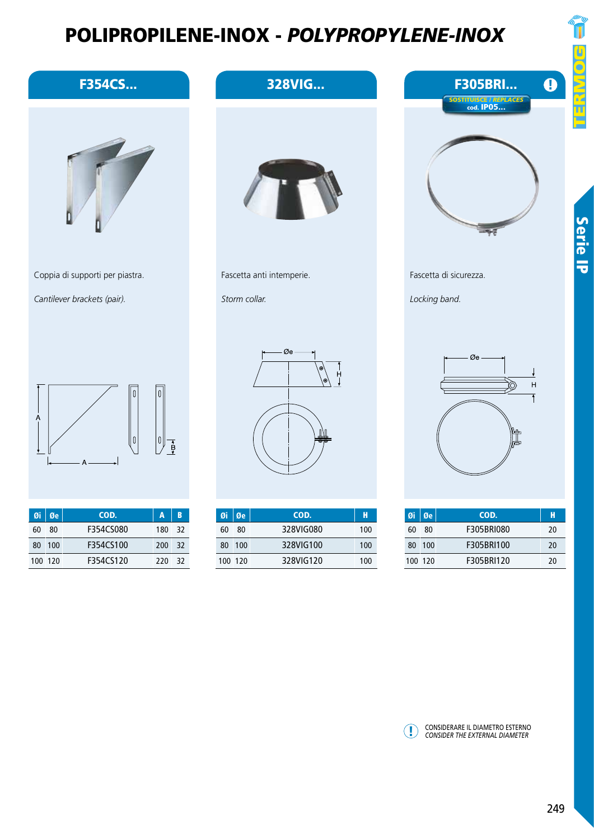| <b>F354CS</b>                                                       | <u> FULIFRUFILENE-INUA – FULI FRUF I LENE-INUA</u><br>328VIG | $\bullet$<br><b>F305BRI</b>                                                                       |
|---------------------------------------------------------------------|--------------------------------------------------------------|---------------------------------------------------------------------------------------------------|
| Coppia di supporti per piastra.                                     | Fascetta anti intemperie.                                    | $\frac{1}{2}$<br>SOSTITUISCE / REPLACES<br>cod. IPO5<br><b>Serie IP</b><br>Fascetta di sicurezza. |
| Cantilever brackets (pair).                                         | Storm collar.                                                | Locking band.                                                                                     |
| $\overline{0}$<br>A<br> 0 <br>$\frac{1}{\sqrt{2}}$<br>Δ             | Øe<br>н                                                      | Øe-<br>$\bar{\mathsf{H}}$                                                                         |
| COD.<br>Øe<br>$\overline{\mathbf{B}}$<br>Øi<br>$\mathbf{A}$         | Øe<br>COD.<br>Øi<br>$\mathbf H$                              | Øe<br>COD.<br>Øi<br>$\mathbf H$                                                                   |
| 80<br>F354CS080<br>60<br>180<br>32<br>F354CS100<br>200 32<br>80 100 | 80<br>328VIG080<br>60<br>100<br>328VIG100<br>80 100<br>100   | $80\,$<br>F305BRI080<br>60<br>$20\,$<br>F305BRI100<br>80 100<br>20                                |

328VIG120

100 120

220 32

120 100

F354CS120

120 100

100

! CONSIDERARE IL DIAMETRO ESTERNO *CONSIDER THE EXTERNAL DIAMETER*

F305BRI120

20

E<br>O